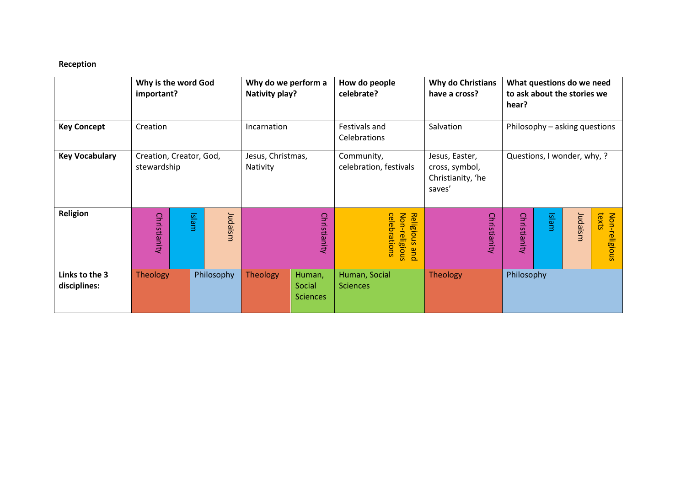## **Reception**

|                                | Why is the word God<br>important?      |       |         | Why do we perform a<br>Nativity play? |                                     | How do people<br><b>Why do Christians</b><br>celebrate?<br>have a cross? |                                                                 |                               | What questions do we need<br>to ask about the stories we<br>hear? |         |                        |  |
|--------------------------------|----------------------------------------|-------|---------|---------------------------------------|-------------------------------------|--------------------------------------------------------------------------|-----------------------------------------------------------------|-------------------------------|-------------------------------------------------------------------|---------|------------------------|--|
| <b>Key Concept</b>             | Creation                               |       |         | Incarnation                           |                                     | Festivals and<br>Celebrations                                            | Salvation                                                       | Philosophy - asking questions |                                                                   |         |                        |  |
| <b>Key Vocabulary</b>          | Creation, Creator, God,<br>stewardship |       |         | Jesus, Christmas,<br>Nativity         |                                     | Community,<br>celebration, festivals                                     | Jesus, Easter,<br>cross, symbol,<br>Christianity, 'he<br>saves' | Questions, I wonder, why, ?   |                                                                   |         |                        |  |
| <b>Religion</b>                | Christianity                           | Islam | Judaism |                                       | Christianity                        | celebrations<br>Non-religious<br>Religious<br>pue                        | Christianity                                                    | Christianity                  | Islam                                                             | Judaism | texts<br>Non-religious |  |
| Links to the 3<br>disciplines: | Theology<br>Philosophy                 |       |         | <b>Theology</b>                       | Human,<br>Social<br><b>Sciences</b> | Human, Social<br><b>Sciences</b>                                         | <b>Theology</b>                                                 | Philosophy                    |                                                                   |         |                        |  |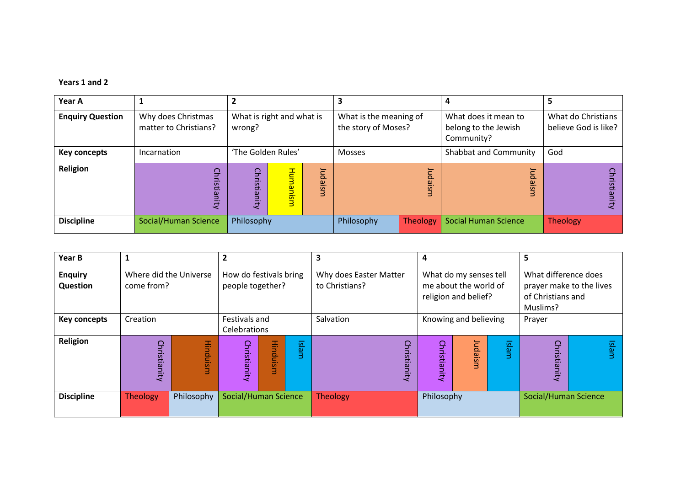## **Years 1 and 2**

| Year A                  |                                             |                                     |                                                       |                                               |                 | 4                                                          |                                            |  |
|-------------------------|---------------------------------------------|-------------------------------------|-------------------------------------------------------|-----------------------------------------------|-----------------|------------------------------------------------------------|--------------------------------------------|--|
| <b>Enquiry Question</b> | Why does Christmas<br>matter to Christians? | What is right and what is<br>wrong? |                                                       | What is the meaning of<br>the story of Moses? |                 | What does it mean to<br>belong to the Jewish<br>Community? | What do Christians<br>believe God is like? |  |
| Key concepts            | Incarnation                                 | 'The Golden Rules'                  |                                                       | <b>Mosses</b>                                 |                 | Shabbat and Community                                      | God                                        |  |
| Religion                | 9<br>Eig                                    | Christianity                        | 곧<br>luda<br><b>Limar</b><br>ism<br>i <mark>si</mark> |                                               | daism           | $\Omega$<br>$\omega$                                       | $\mathbf{\mathbf{\mathsf{H}}}$<br>ā        |  |
| <b>Discipline</b>       | Social/Human Science                        | Philosophy                          |                                                       | Philosophy                                    | <b>Theology</b> | <b>Social Human Science</b>                                | Theology                                   |  |

| Year B                     | 1                                    |                                    | $\mathbf{2}$                                                                                                                                                      | 3<br>4          |                 |                       |              |                                                                                   |                      | 5 |       |  |
|----------------------------|--------------------------------------|------------------------------------|-------------------------------------------------------------------------------------------------------------------------------------------------------------------|-----------------|-----------------|-----------------------|--------------|-----------------------------------------------------------------------------------|----------------------|---|-------|--|
| <b>Enquiry</b><br>Question | Where did the Universe<br>come from? |                                    | How do festivals bring<br>Why does Easter Matter<br>What do my senses tell<br>me about the world of<br>people together?<br>to Christians?<br>religion and belief? |                 |                 |                       |              | What difference does<br>prayer make to the lives<br>of Christians and<br>Muslims? |                      |   |       |  |
| <b>Key concepts</b>        | Creation                             | Festivals and<br>Celebrations      |                                                                                                                                                                   |                 | Salvation       | Knowing and believing |              |                                                                                   | Prayer               |   |       |  |
| Religion                   | <b>Hinduism</b><br>Christianity      |                                    | Christianity                                                                                                                                                      | <b>Hinduism</b> | Islam           | Christianity          | Christianity | Islam<br>Judaism                                                                  |                      |   | Islam |  |
| <b>Discipline</b>          | <b>Theology</b>                      | Social/Human Science<br>Philosophy |                                                                                                                                                                   |                 | <b>Theology</b> | Philosophy            |              |                                                                                   | Social/Human Science |   |       |  |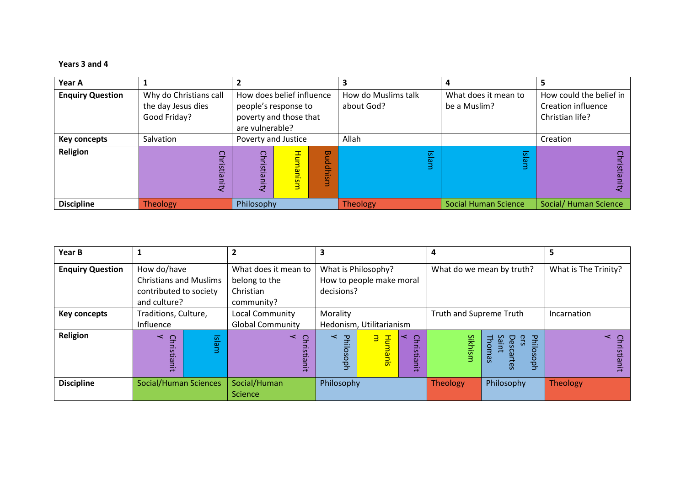## **Years 3 and 4**

| Year A                  |                                              |                                                   |                                   |                                      |                                                      |  |
|-------------------------|----------------------------------------------|---------------------------------------------------|-----------------------------------|--------------------------------------|------------------------------------------------------|--|
| <b>Enquiry Question</b> | Why do Christians call<br>the day Jesus dies | How does belief influence<br>people's response to | How do Muslims talk<br>about God? | What does it mean to<br>be a Muslim? | How could the belief in<br><b>Creation influence</b> |  |
|                         | Good Friday?                                 | poverty and those that<br>are vulnerable?         |                                   |                                      | Christian life?                                      |  |
| <b>Key concepts</b>     | Salvation                                    | Poverty and Justice                               | Allah                             |                                      | Creation                                             |  |
| Religion                |                                              | င္ခ<br>Hunn<br>፵<br>iddhi<br>ភ<br>sins<br>Ξ.<br>ω | 区<br>$\omega$                     | $\overline{\Omega}$<br>പ             |                                                      |  |
| <b>Discipline</b>       | <b>Theology</b>                              | Philosophy                                        | <b>Theology</b>                   | <b>Social Human Science</b>          | <b>Social/ Human Science</b>                         |  |

| Year B                  |                               |     | 2                       |                          |                          |                   | 4                       |                                         | 5                    |
|-------------------------|-------------------------------|-----|-------------------------|--------------------------|--------------------------|-------------------|-------------------------|-----------------------------------------|----------------------|
| <b>Enquiry Question</b> | How do/have                   |     | What does it mean to    |                          | What is Philosophy?      |                   |                         | What do we mean by truth?               | What is The Trinity? |
|                         | <b>Christians and Muslims</b> |     | belong to the           |                          | How to people make moral |                   |                         |                                         |                      |
|                         | contributed to society        |     | Christian               | decisions?               |                          |                   |                         |                                         |                      |
|                         | and culture?                  |     | community?              |                          |                          |                   |                         |                                         |                      |
| <b>Key concepts</b>     | Traditions, Culture,          |     | <b>Local Community</b>  | Morality                 |                          |                   | Truth and Supreme Truth |                                         | Incarnation          |
|                         | Influence                     |     | <b>Global Community</b> | Hedonism, Utilitarianism |                          |                   |                         |                                         |                      |
| Religion                | ≺<br>$\Omega$                 | 区   | $\prec$                 | $\prec$<br>공             | з<br>푿                   | ↽<br>$\mathbf{S}$ |                         | РFii<br>တ္ဆ<br>ers                      | $\leq$ $\geq$        |
|                         | risti                         | Bir |                         |                          |                          | ristia            | Sikhism                 | Thomas<br>Desca<br>Ē<br>SO <sub>1</sub> | <u>isi</u>           |
|                         | ianit                         |     | Christianit             | losoph                   | <u>lanis</u>             |                   |                         | joph<br>rtes                            |                      |
|                         |                               |     |                         |                          |                          | mit               |                         |                                         | ā                    |
| <b>Discipline</b>       | Social/Human Sciences         |     | Social/Human            | Philosophy               |                          |                   | Theology                | Philosophy                              | <b>Theology</b>      |
|                         |                               |     | Science                 |                          |                          |                   |                         |                                         |                      |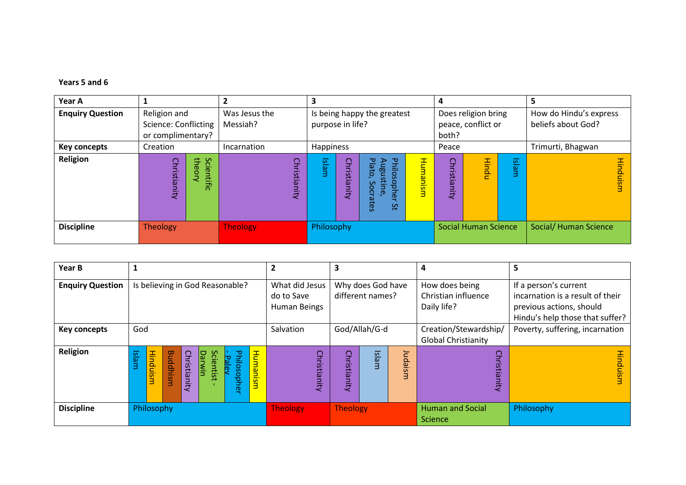## **Years 5 and 6**

| Year A                  |                                           |                    | 2                             |              | 3                |                             |                                                                             |                             |                     |                       |                                              | 5                  |
|-------------------------|-------------------------------------------|--------------------|-------------------------------|--------------|------------------|-----------------------------|-----------------------------------------------------------------------------|-----------------------------|---------------------|-----------------------|----------------------------------------------|--------------------|
| <b>Enquiry Question</b> | Religion and                              |                    | Was Jesus the                 |              |                  | Is being happy the greatest |                                                                             |                             | Does religion bring |                       | How do Hindu's express                       |                    |
|                         | Science: Conflicting<br>or complimentary? |                    | Messiah?                      |              | purpose in life? |                             |                                                                             |                             | both?               | peace, conflict or    |                                              | beliefs about God? |
| <b>Key concepts</b>     | Creation                                  |                    | Incarnation                   | Happiness    |                  |                             | Peace                                                                       |                             |                     | Trimurti, Bhagwan     |                                              |                    |
| Religion                | Christianity                              | Scientific<br>theo |                               | Christianity | Islam            | Christianity                | Philos<br>Plato,<br>Augus<br>sopher<br>₫.<br>Socr<br>υe<br>نە<br>rtes<br>Šť | Humanism                    | Christianity        | Hindu                 | $\overline{\underline{\omega}}$<br><b>BU</b> | Hinduisn           |
| <b>Discipline</b>       | <b>Theology</b>                           |                    | <b>Theology</b><br>Philosophy |              |                  |                             |                                                                             | <b>Social Human Science</b> |                     | Social/ Human Science |                                              |                    |

| Year B                  |                                                                                                                                                                                           |  |  |  |              |              |       |         | $\overline{\mathbf{2}}$                      |                                       | з               |               |  | 4                                                    | э                                                                                                                        |  |
|-------------------------|-------------------------------------------------------------------------------------------------------------------------------------------------------------------------------------------|--|--|--|--------------|--------------|-------|---------|----------------------------------------------|---------------------------------------|-----------------|---------------|--|------------------------------------------------------|--------------------------------------------------------------------------------------------------------------------------|--|
| <b>Enquiry Question</b> | Is believing in God Reasonable?                                                                                                                                                           |  |  |  |              |              |       |         | What did Jesus<br>do to Save<br>Human Beings | Why does God have<br>different names? |                 |               |  | How does being<br>Christian influence<br>Daily life? | If a person's current<br>incarnation is a result of their<br>previous actions, should<br>Hindu's help those that suffer? |  |
| <b>Key concepts</b>     | God                                                                                                                                                                                       |  |  |  |              |              |       |         | Salvation                                    |                                       |                 | God/Allah/G-d |  | Creation/Stewardship/<br><b>Global Christianity</b>  | Poverty, suffering, incarnation                                                                                          |  |
| Religion                | <b>Hind</b><br><b>Buddhism</b><br>Christianity<br>Humanism<br>$\overline{\overline{\Omega}}$<br><b>Darwin</b><br>Scientist<br>Philosoph<br><u>Pale</u><br>BIT<br>Ξ<br>$\overline{a}$<br>ወ |  |  |  | Christianity | Christianity | Islam | Judaism | ç<br>ristian<br>ā                            | usin                                  |                 |               |  |                                                      |                                                                                                                          |  |
| <b>Discipline</b>       | Philosophy                                                                                                                                                                                |  |  |  |              |              |       |         | <b>Theology</b>                              |                                       | <b>Theology</b> |               |  | <b>Human and Social</b><br>Science                   | Philosophy                                                                                                               |  |